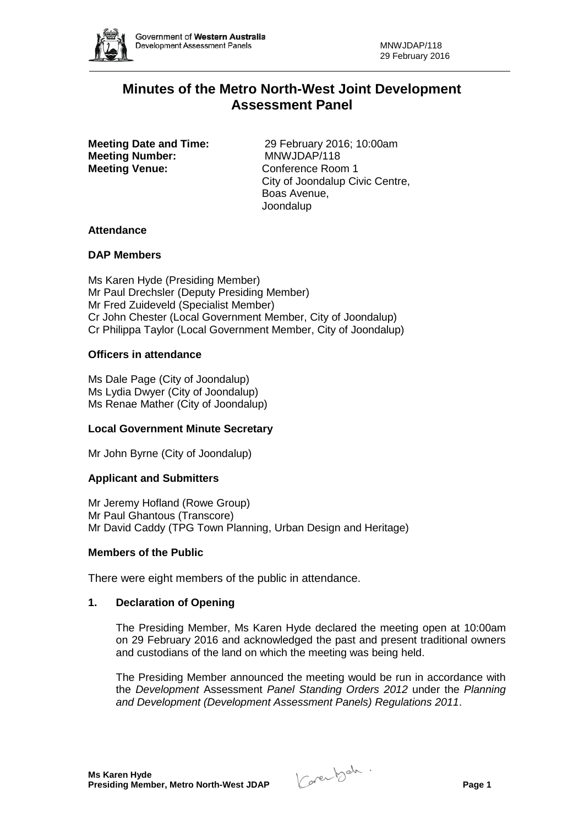

# **Minutes of the Metro North-West Joint Development Assessment Panel**

**Meeting Number:** MNWJDAP/118<br> **Meeting Venue:** Conference Room 1 **Meeting Venue:** 

**Meeting Date and Time:** 29 February 2016; 10:00am City of Joondalup Civic Centre, Boas Avenue, Joondalup

# **Attendance**

## **DAP Members**

Ms Karen Hyde (Presiding Member) Mr Paul Drechsler (Deputy Presiding Member) Mr Fred Zuideveld (Specialist Member) Cr John Chester (Local Government Member, City of Joondalup) Cr Philippa Taylor (Local Government Member, City of Joondalup)

## **Officers in attendance**

Ms Dale Page (City of Joondalup) Ms Lydia Dwyer (City of Joondalup) Ms Renae Mather (City of Joondalup)

# **Local Government Minute Secretary**

Mr John Byrne (City of Joondalup)

#### **Applicant and Submitters**

Mr Jeremy Hofland (Rowe Group) Mr Paul Ghantous (Transcore) Mr David Caddy (TPG Town Planning, Urban Design and Heritage)

#### **Members of the Public**

There were eight members of the public in attendance.

#### **1. Declaration of Opening**

The Presiding Member, Ms Karen Hyde declared the meeting open at 10:00am on 29 February 2016 and acknowledged the past and present traditional owners and custodians of the land on which the meeting was being held.

The Presiding Member announced the meeting would be run in accordance with the *Development* Assessment *Panel Standing Orders 2012* under the *Planning and Development (Development Assessment Panels) Regulations 2011*.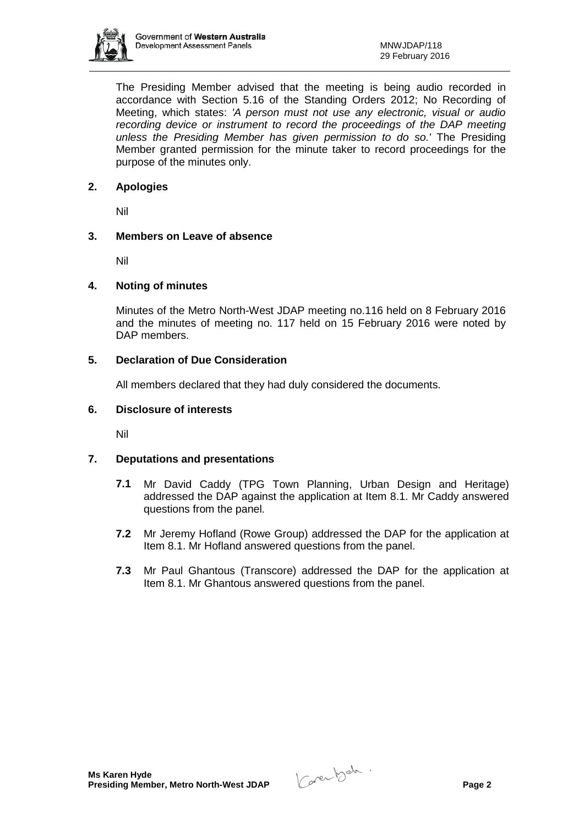

The Presiding Member advised that the meeting is being audio recorded in accordance with Section 5.16 of the Standing Orders 2012; No Recording of Meeting, which states: *'A person must not use any electronic, visual or audio recording device or instrument to record the proceedings of the DAP meeting unless the Presiding Member has given permission to do so.'* The Presiding Member granted permission for the minute taker to record proceedings for the purpose of the minutes only.

# **2. Apologies**

Nil

# **3. Members on Leave of absence**

Nil

# **4. Noting of minutes**

Minutes of the Metro North-West JDAP meeting no.116 held on 8 February 2016 and the minutes of meeting no. 117 held on 15 February 2016 were noted by DAP members.

# **5. Declaration of Due Consideration**

All members declared that they had duly considered the documents.

# **6. Disclosure of interests**

Nil

# **7. Deputations and presentations**

- **7.1** Mr David Caddy (TPG Town Planning, Urban Design and Heritage) addressed the DAP against the application at Item 8.1. Mr Caddy answered questions from the panel.
- **7.2** Mr Jeremy Hofland (Rowe Group) addressed the DAP for the application at Item 8.1. Mr Hofland answered questions from the panel.
- **7.3** Mr Paul Ghantous (Transcore) addressed the DAP for the application at Item 8.1. Mr Ghantous answered questions from the panel.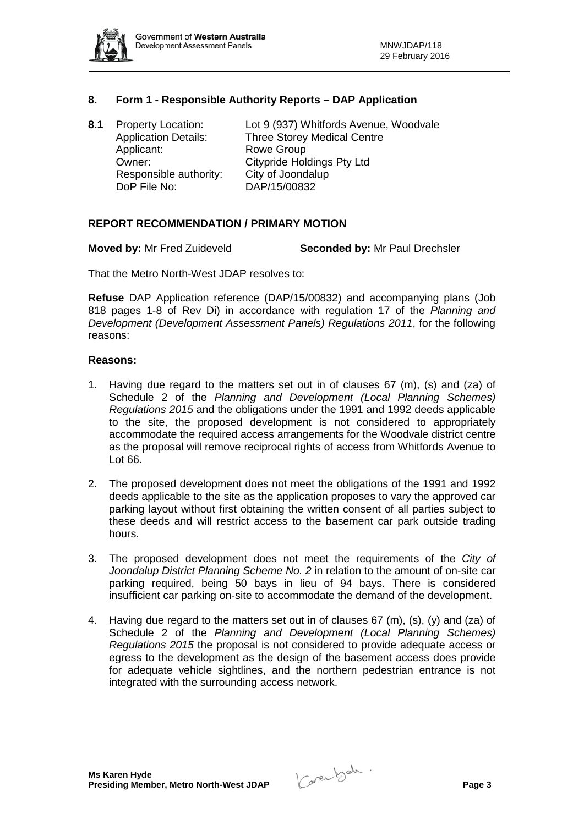

# **8. Form 1 - Responsible Authority Reports – DAP Application**

| 8.1 | <b>Property Location:</b>   | Lot 9 (937) Whitfords Avenue, Woodvale |
|-----|-----------------------------|----------------------------------------|
|     | <b>Application Details:</b> | <b>Three Storey Medical Centre</b>     |
|     | Applicant:                  | <b>Rowe Group</b>                      |
|     | Owner:                      | <b>Citypride Holdings Pty Ltd</b>      |
|     | Responsible authority:      | City of Joondalup                      |
|     | DoP File No:                | DAP/15/00832                           |

#### **REPORT RECOMMENDATION / PRIMARY MOTION**

**Moved by:** Mr Fred Zuideveld **Seconded by:** Mr Paul Drechsler

That the Metro North-West JDAP resolves to:

**Refuse** DAP Application reference (DAP/15/00832) and accompanying plans (Job 818 pages 1-8 of Rev Di) in accordance with regulation 17 of the *Planning and Development (Development Assessment Panels) Regulations 2011*, for the following reasons:

#### **Reasons:**

- 1. Having due regard to the matters set out in of clauses  $67 \,$  (m), (s) and (za) of Schedule 2 of the *Planning and Development (Local Planning Schemes) Regulations 2015* and the obligations under the 1991 and 1992 deeds applicable to the site, the proposed development is not considered to appropriately accommodate the required access arrangements for the Woodvale district centre as the proposal will remove reciprocal rights of access from Whitfords Avenue to Lot 66.
- 2. The proposed development does not meet the obligations of the 1991 and 1992 deeds applicable to the site as the application proposes to vary the approved car parking layout without first obtaining the written consent of all parties subject to these deeds and will restrict access to the basement car park outside trading hours.
- 3. The proposed development does not meet the requirements of the *City of Joondalup District Planning Scheme No. 2* in relation to the amount of on-site car parking required, being 50 bays in lieu of 94 bays. There is considered insufficient car parking on-site to accommodate the demand of the development.
- 4. Having due regard to the matters set out in of clauses 67 (m), (s), (y) and (za) of Schedule 2 of the *Planning and Development (Local Planning Schemes) Regulations 2015* the proposal is not considered to provide adequate access or egress to the development as the design of the basement access does provide for adequate vehicle sightlines, and the northern pedestrian entrance is not integrated with the surrounding access network.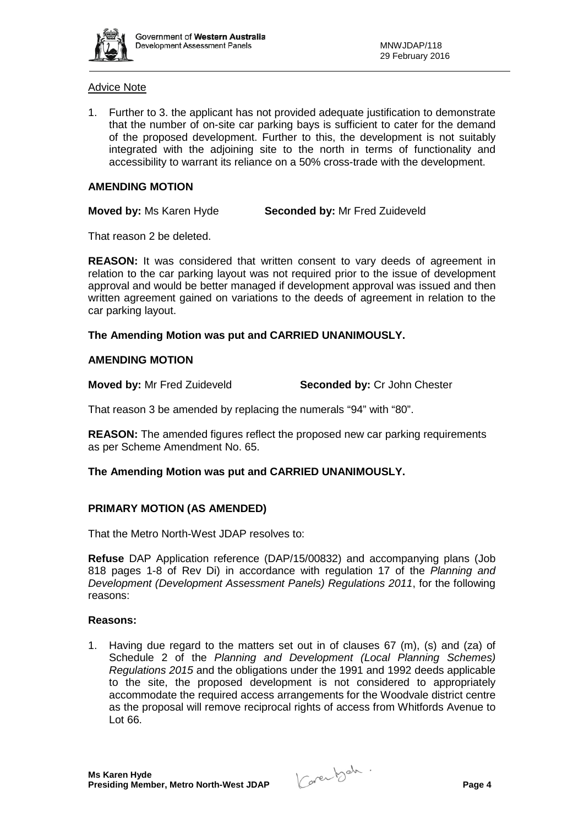

## Advice Note

1. Further to 3. the applicant has not provided adequate justification to demonstrate that the number of on-site car parking bays is sufficient to cater for the demand of the proposed development. Further to this, the development is not suitably integrated with the adjoining site to the north in terms of functionality and accessibility to warrant its reliance on a 50% cross-trade with the development.

# **AMENDING MOTION**

**Moved by:** Ms Karen Hyde **Seconded by:** Mr Fred Zuideveld

That reason 2 be deleted.

**REASON:** It was considered that written consent to vary deeds of agreement in relation to the car parking layout was not required prior to the issue of development approval and would be better managed if development approval was issued and then written agreement gained on variations to the deeds of agreement in relation to the car parking layout.

# **The Amending Motion was put and CARRIED UNANIMOUSLY.**

# **AMENDING MOTION**

**Moved by:** Mr Fred Zuideveld **Seconded by:** Cr John Chester

That reason 3 be amended by replacing the numerals "94" with "80".

**REASON:** The amended figures reflect the proposed new car parking requirements as per Scheme Amendment No. 65.

# **The Amending Motion was put and CARRIED UNANIMOUSLY.**

# **PRIMARY MOTION (AS AMENDED)**

That the Metro North-West JDAP resolves to:

**Refuse** DAP Application reference (DAP/15/00832) and accompanying plans (Job 818 pages 1-8 of Rev Di) in accordance with regulation 17 of the *Planning and Development (Development Assessment Panels) Regulations 2011*, for the following reasons:

#### **Reasons:**

1. Having due regard to the matters set out in of clauses  $67 \, \text{(m)}$ , (s) and (za) of Schedule 2 of the *Planning and Development (Local Planning Schemes) Regulations 2015* and the obligations under the 1991 and 1992 deeds applicable to the site, the proposed development is not considered to appropriately accommodate the required access arrangements for the Woodvale district centre as the proposal will remove reciprocal rights of access from Whitfords Avenue to Lot 66.